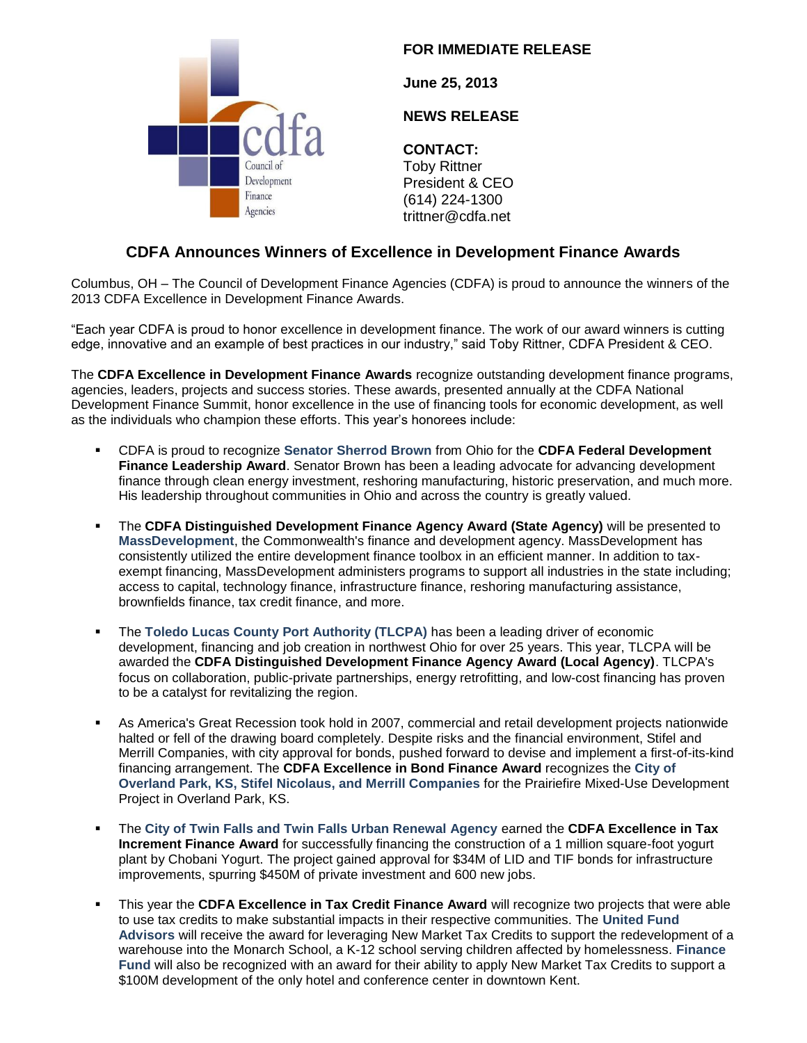

## **FOR IMMEDIATE RELEASE**

**June 25, 2013**

## **NEWS RELEASE**

**CONTACT:** Toby Rittner President & CEO (614) 224-1300 trittner@cdfa.net

## **CDFA Announces Winners of Excellence in Development Finance Awards**

Columbus, OH – The Council of Development Finance Agencies (CDFA) is proud to announce the winners of the 2013 CDFA Excellence in Development Finance Awards.

"Each year CDFA is proud to honor excellence in development finance. The work of our award winners is cutting edge, innovative and an example of best practices in our industry," said Toby Rittner, CDFA President & CEO.

The **CDFA Excellence in Development Finance Awards** recognize outstanding development finance programs, agencies, leaders, projects and success stories. These awards, presented annually at the CDFA National Development Finance Summit, honor excellence in the use of financing tools for economic development, as well as the individuals who champion these efforts. This year's honorees include:

- CDFA is proud to recognize **Senator Sherrod Brown** from Ohio for the **CDFA Federal Development Finance Leadership Award**. Senator Brown has been a leading advocate for advancing development finance through clean energy investment, reshoring manufacturing, historic preservation, and much more. His leadership throughout communities in Ohio and across the country is greatly valued.
- The **CDFA Distinguished Development Finance Agency Award (State Agency)** will be presented to **MassDevelopment**, the Commonwealth's finance and development agency. MassDevelopment has consistently utilized the entire development finance toolbox in an efficient manner. In addition to taxexempt financing, MassDevelopment administers programs to support all industries in the state including; access to capital, technology finance, infrastructure finance, reshoring manufacturing assistance, brownfields finance, tax credit finance, and more.
- The **Toledo Lucas County Port Authority (TLCPA)** has been a leading driver of economic development, financing and job creation in northwest Ohio for over 25 years. This year, TLCPA will be awarded the **CDFA Distinguished Development Finance Agency Award (Local Agency)**. TLCPA's focus on collaboration, public-private partnerships, energy retrofitting, and low-cost financing has proven to be a catalyst for revitalizing the region.
- As America's Great Recession took hold in 2007, commercial and retail development projects nationwide halted or fell of the drawing board completely. Despite risks and the financial environment, Stifel and Merrill Companies, with city approval for bonds, pushed forward to devise and implement a first-of-its-kind financing arrangement. The **CDFA Excellence in Bond Finance Award** recognizes the **City of Overland Park, KS, Stifel Nicolaus, and Merrill Companies** for the Prairiefire Mixed-Use Development Project in Overland Park, KS.
- The **City of Twin Falls and Twin Falls Urban Renewal Agency** earned the **CDFA Excellence in Tax Increment Finance Award** for successfully financing the construction of a 1 million square-foot yogurt plant by Chobani Yogurt. The project gained approval for \$34M of LID and TIF bonds for infrastructure improvements, spurring \$450M of private investment and 600 new jobs.
- This year the **CDFA Excellence in Tax Credit Finance Award** will recognize two projects that were able to use tax credits to make substantial impacts in their respective communities. The **United Fund Advisors** will receive the award for leveraging New Market Tax Credits to support the redevelopment of a warehouse into the Monarch School, a K-12 school serving children affected by homelessness. **Finance Fund** will also be recognized with an award for their ability to apply New Market Tax Credits to support a \$100M development of the only hotel and conference center in downtown Kent.